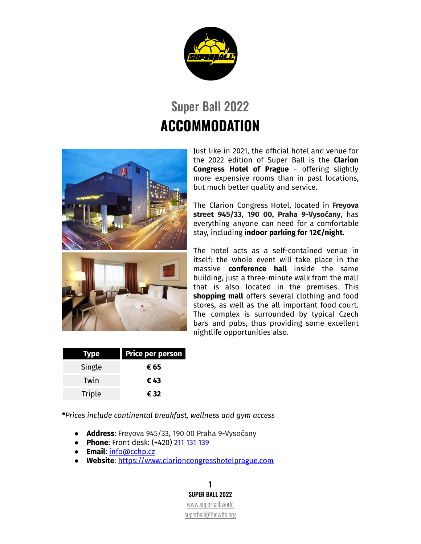

## Super Ball 2022 **ACCOMMODATION**



Just like in 2021, the official hotel and venue for the 2022 edition of Super Ball is the **Clarion Congress Hotel of Prague** - offering slightly more expensive rooms than in past locations, but much better quality and service.

The Clarion Congress Hotel, located in **Freyova street 945/33, 190 00, Praha 9-Vysočany**, has everything anyone can need for a comfortable stay, including **indoor parking for 12€/night**.

The hotel acts as a self-contained venue in itself: the whole event will take place in the massive **conference hall** inside the same building, just a three-minute walk from the mall that is also located in the premises. This **shopping mall** offers several clothing and food stores, as well as the all important food court. The complex is surrounded by typical Czech bars and pubs, thus providing some excellent nightlife opportunities also.

| Type          | <b>Price per person</b> |
|---------------|-------------------------|
| Single        | € 65                    |
| Twin          | € 43                    |
| <b>Triple</b> | € 32                    |

*\*Prices include continental breakfast, wellness and gym access*

- **Address**: Freyova 945/33, 190 00 Praha 9-Vysočany
- **Phone**: Front desk: (+420) 211 131 [139](https://www.google.com/search?q=clarion+hotel+vyso%C4%8Dansk%C3%A1&source=lmns&bih=675&biw=1280&client=safari&hl=cs&sa=X&ved=2ahUKEwiWvZSV5P_qAhVU0OAKHXSICtkQ_AUoAHoECAEQAA)
- **Email**: [info@cchp.cz](mailto:info@cchp.cz)
- **Website**: <https://www.clarioncongresshotelprague.com>

**1** SUPER BALL 2022 [www.superball.world](http://www.superball.world) [superball@thewffa.org](mailto:superball@thewffa.org)